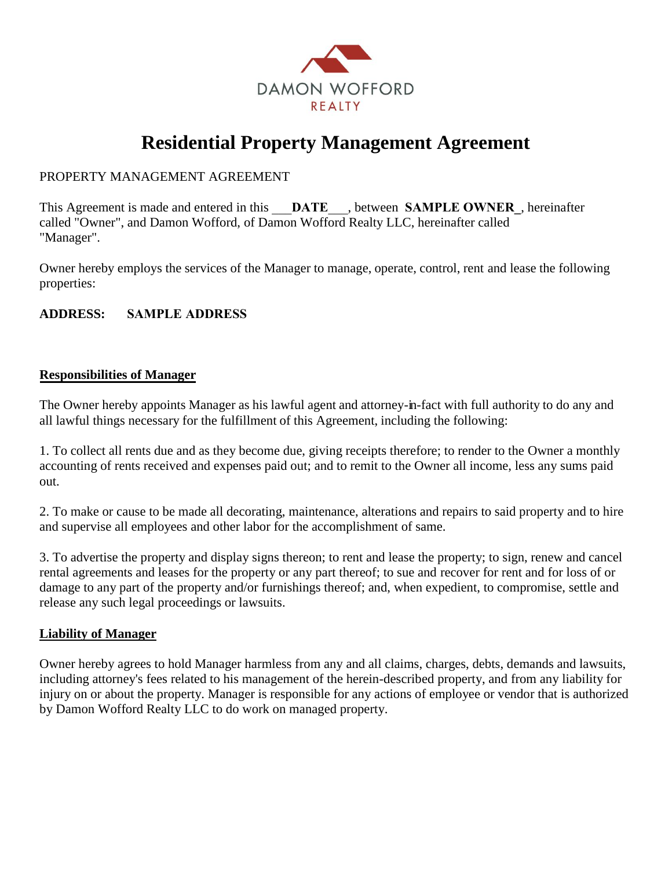

# **Residential Property Management Agreement**

### PROPERTY MANAGEMENT AGREEMENT

This Agreement is made and entered in this **DATE**, between **SAMPLE OWNER**, hereinafter called "Owner", and Damon Wofford, of Damon Wofford Realty LLC, hereinafter called "Manager".

Owner hereby employs the services of the Manager to manage, operate, control, rent and lease the following properties:

# **ADDRESS: SAMPLE ADDRESS**

### **Responsibilities of Manager**

The Owner hereby appoints Manager as his lawful agent and attorney-in-fact with full authority to do any and all lawful things necessary for the fulfillment of this Agreement, including the following:

1. To collect all rents due and as they become due, giving receipts therefore; to render to the Owner a monthly accounting of rents received and expenses paid out; and to remit to the Owner all income, less any sums paid out.

2. To make or cause to be made all decorating, maintenance, alterations and repairs to said property and to hire and supervise all employees and other labor for the accomplishment of same.

3. To advertise the property and display signs thereon; to rent and lease the property; to sign, renew and cancel rental agreements and leases for the property or any part thereof; to sue and recover for rent and for loss of or damage to any part of the property and/or furnishings thereof; and, when expedient, to compromise, settle and release any such legal proceedings or lawsuits.

# **Liability of Manager**

Owner hereby agrees to hold Manager harmless from any and all claims, charges, debts, demands and lawsuits, including attorney's fees related to his management of the herein-described property, and from any liability for injury on or about the property. Manager is responsible for any actions of employee or vendor that is authorized by Damon Wofford Realty LLC to do work on managed property.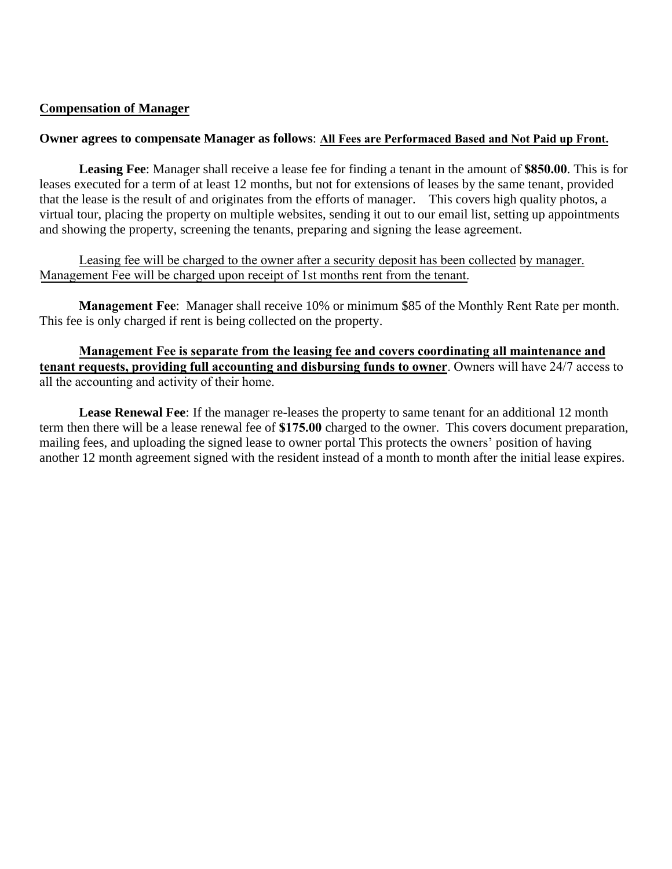### **Compensation of Manager**

### **Owner agrees to compensate Manager as follows**: **All Fees are Performaced Based and Not Paid up Front.**

**Leasing Fee**: Manager shall receive a lease fee for finding a tenant in the amount of **\$850.00**. This is for leases executed for a term of at least 12 months, but not for extensions of leases by the same tenant, provided that the lease is the result of and originates from the efforts of manager. This covers high quality photos, a virtual tour, placing the property on multiple websites, sending it out to our email list, setting up appointments and showing the property, screening the tenants, preparing and signing the lease agreement.

Leasing fee will be charged to the owner after a security deposit has been collected by manager. Management Fee will be charged upon receipt of 1st months rent from the tenant.

**Management Fee**: Manager shall receive 10% or minimum \$85 of the Monthly Rent Rate per month. This fee is only charged if rent is being collected on the property.

**Management Fee is separate from the leasing fee and covers coordinating all maintenance and tenant requests, providing full accounting and disbursing funds to owner**. Owners will have 24/7 access to all the accounting and activity of their home.

**Lease Renewal Fee**: If the manager re-leases the property to same tenant for an additional 12 month term then there will be a lease renewal fee of **\$175.00** charged to the owner. This covers document preparation, mailing fees, and uploading the signed lease to owner portal This protects the owners' position of having another 12 month agreement signed with the resident instead of a month to month after the initial lease expires.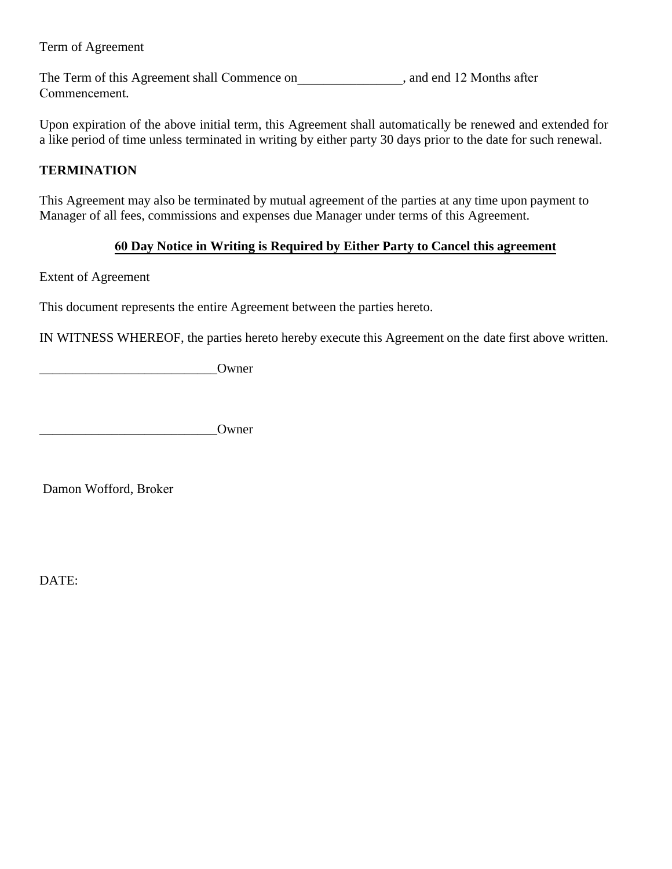### Term of Agreement

The Term of this Agreement shall Commence on  $\qquad \qquad$ , and end 12 Months after Commencement.

Upon expiration of the above initial term, this Agreement shall automatically be renewed and extended for a like period of time unless terminated in writing by either party 30 days prior to the date for such renewal.

# **TERMINATION**

This Agreement may also be terminated by mutual agreement of the parties at any time upon payment to Manager of all fees, commissions and expenses due Manager under terms of this Agreement.

# **60 Day Notice in Writing is Required by Either Party to Cancel this agreement**

Extent of Agreement

This document represents the entire Agreement between the parties hereto.

IN WITNESS WHEREOF, the parties hereto hereby execute this Agreement on the date first above written.

\_\_\_\_\_\_\_\_\_\_\_\_\_\_\_\_\_\_\_\_\_\_\_\_\_\_\_Owner

\_\_\_\_\_\_\_\_\_\_\_\_\_\_\_\_\_\_\_\_\_\_\_\_\_\_\_Owner

Damon Wofford, Broker

DATE: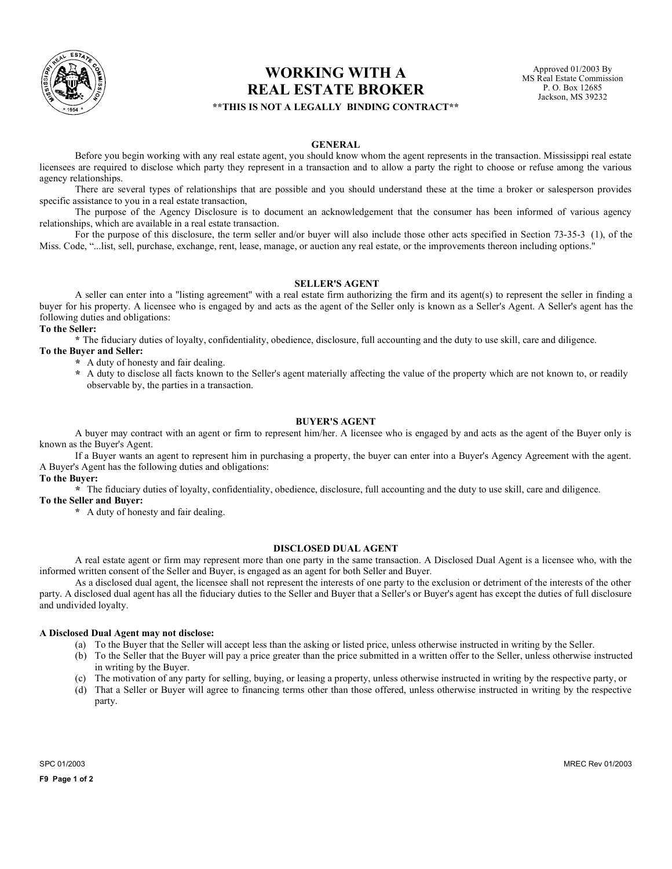

# **WORKING WITH A** Approved 01/2003 By **REAL ESTATE BROKER \*\*THIS IS NOT A LEGALLY BINDING CONTRACT\*\***

#### **GENERAL**

Before you begin working with any real estate agent, you should know whom the agent represents in the transaction. Mississippi real estate licensees are required to disclose which party they represent in a transaction and to allow a party the right to choose or refuse among the various agency relationships.

There are several types of relationships that are possible and you should understand these at the time a broker or salesperson provides specific assistance to you in a real estate transaction,

The purpose of the Agency Disclosure is to document an acknowledgement that the consumer has been informed of various agency relationships, which are available in a real estate transaction.

For the purpose of this disclosure, the term seller and/or buyer will also include those other acts specified in Section 73-35-3 (1), of the Miss. Code, "...list, sell, purchase, exchange, rent, lease, manage, or auction any real estate, or the improvements thereon including options."

#### **SELLER'S AGENT**

A seller can enter into a "listing agreement" with a real estate firm authorizing the firm and its agent(s) to represent the seller in finding a buyer for his property. A licensee who is engaged by and acts as the agent of the Seller only is known as a Seller's Agent. A Seller's agent has the following duties and obligations:

### **To the Seller:**

**\*** The fiduciary duties of loyalty, confidentiality, obedience, disclosure, full accounting and the duty to use skill, care and diligence. **To the Buyer and Seller:**

- **\*** A duty of honesty and fair dealing.
- **\*** A duty to disclose all facts known to the Seller's agent materially affecting the value of the property which are not known to, or readily observable by, the parties in a transaction.

#### **BUYER'S AGENT**

A buyer may contract with an agent or firm to represent him/her. A licensee who is engaged by and acts as the agent of the Buyer only is known as the Buyer's Agent.

If a Buyer wants an agent to represent him in purchasing a property, the buyer can enter into a Buyer's Agency Agreement with the agent. A Buyer's Agent has the following duties and obligations:

### **To the Buyer:**

**\*** The fiduciary duties of loyalty, confidentiality, obedience, disclosure, full accounting and the duty to use skill, care and diligence.

**To the Seller and Buyer:**

**\*** A duty of honesty and fair dealing.

### **DISCLOSED DUAL AGENT**

A real estate agent or firm may represent more than one party in the same transaction. A Disclosed Dual Agent is a licensee who, with the informed written consent of the Seller and Buyer, is engaged as an agent for both Seller and Buyer.

As a disclosed dual agent, the licensee shall not represent the interests of one party to the exclusion or detriment of the interests of the other party. A disclosed dual agent has all the fiduciary duties to the Seller and Buyer that a Seller's or Buyer's agent has except the duties of full disclosure and undivided loyalty.

#### **A Disclosed Dual Agent may not disclose:**

- (a) To the Buyer that the Seller will accept less than the asking or listed price, unless otherwise instructed in writing by the Seller.
- (b) To the Seller that the Buyer will pay a price greater than the price submitted in a written offer to the Seller, unless otherwise instructed in writing by the Buyer.
- (c) The motivation of any party for selling, buying, or leasing a property, unless otherwise instructed in writing by the respective party, or
- That a Seller or Buyer will agree to financing terms other than those offered, unless otherwise instructed in writing by the respective (d) party.